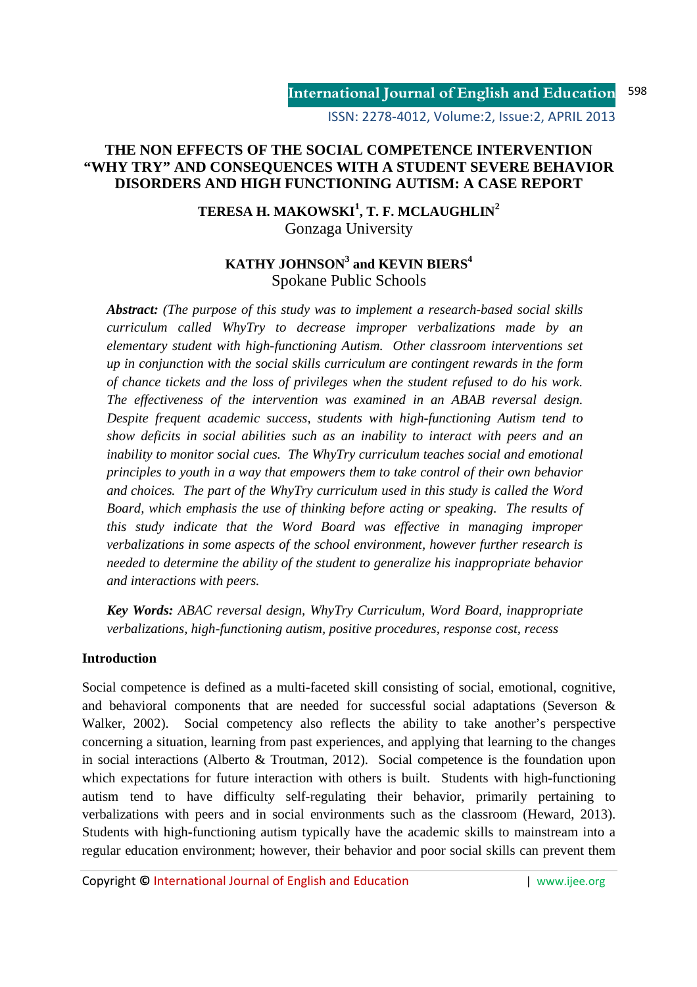ISSN: 2278-4012, Volume:2, Issue:2, APRIL 2013

# **THE NON EFFECTS OF THE SOCIAL COMPETENCE INTERVENTION "WHY TRY" AND CONSEQUENCES WITH A STUDENT SEVERE BEHAVIOR DISORDERS AND HIGH FUNCTIONING AUTISM: A CASE REPORT**

**TERESA H. MAKOWSKI<sup>1</sup> , T. F. MCLAUGHLIN<sup>2</sup>** Gonzaga University

# **KATHY JOHNSON<sup>3</sup> and KEVIN BIERS<sup>4</sup>**  Spokane Public Schools

*Abstract: (The purpose of this study was to implement a research-based social skills curriculum called WhyTry to decrease improper verbalizations made by an elementary student with high-functioning Autism. Other classroom interventions set up in conjunction with the social skills curriculum are contingent rewards in the form of chance tickets and the loss of privileges when the student refused to do his work. The effectiveness of the intervention was examined in an ABAB reversal design. Despite frequent academic success, students with high-functioning Autism tend to show deficits in social abilities such as an inability to interact with peers and an inability to monitor social cues. The WhyTry curriculum teaches social and emotional principles to youth in a way that empowers them to take control of their own behavior and choices. The part of the WhyTry curriculum used in this study is called the Word Board, which emphasis the use of thinking before acting or speaking. The results of this study indicate that the Word Board was effective in managing improper verbalizations in some aspects of the school environment, however further research is needed to determine the ability of the student to generalize his inappropriate behavior and interactions with peers.* 

*Key Words: ABAC reversal design, WhyTry Curriculum, Word Board, inappropriate verbalizations, high-functioning autism, positive procedures, response cost, recess* 

## **Introduction**

Social competence is defined as a multi-faceted skill consisting of social, emotional, cognitive, and behavioral components that are needed for successful social adaptations (Severson & Walker, 2002).Social competency also reflects the ability to take another's perspective concerning a situation, learning from past experiences, and applying that learning to the changes in social interactions (Alberto & Troutman, 2012). Social competence is the foundation upon which expectations for future interaction with others is built. Students with high-functioning autism tend to have difficulty self-regulating their behavior, primarily pertaining to verbalizations with peers and in social environments such as the classroom (Heward, 2013). Students with high-functioning autism typically have the academic skills to mainstream into a regular education environment; however, their behavior and poor social skills can prevent them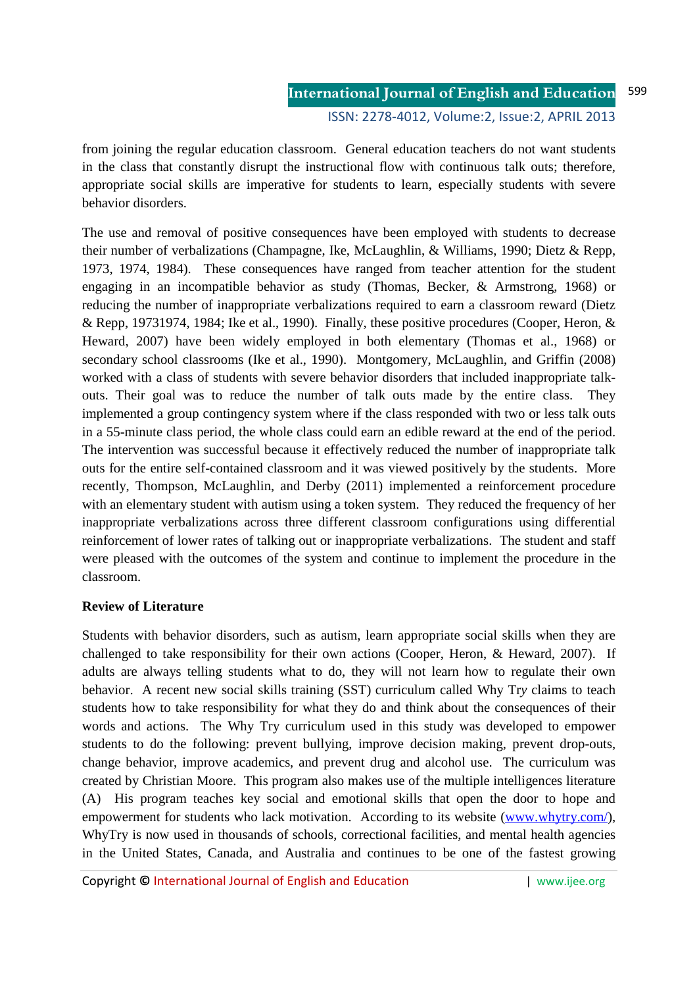from joining the regular education classroom. General education teachers do not want students in the class that constantly disrupt the instructional flow with continuous talk outs; therefore, appropriate social skills are imperative for students to learn, especially students with severe behavior disorders.

The use and removal of positive consequences have been employed with students to decrease their number of verbalizations (Champagne, Ike, McLaughlin, & Williams, 1990; Dietz & Repp, 1973, 1974, 1984). These consequences have ranged from teacher attention for the student engaging in an incompatible behavior as study (Thomas, Becker, & Armstrong, 1968) or reducing the number of inappropriate verbalizations required to earn a classroom reward (Dietz & Repp, 19731974, 1984; Ike et al., 1990). Finally, these positive procedures (Cooper, Heron, & Heward, 2007) have been widely employed in both elementary (Thomas et al., 1968) or secondary school classrooms (Ike et al., 1990). Montgomery, McLaughlin, and Griffin (2008) worked with a class of students with severe behavior disorders that included inappropriate talkouts. Their goal was to reduce the number of talk outs made by the entire class. They implemented a group contingency system where if the class responded with two or less talk outs in a 55-minute class period, the whole class could earn an edible reward at the end of the period. The intervention was successful because it effectively reduced the number of inappropriate talk outs for the entire self-contained classroom and it was viewed positively by the students. More recently, Thompson, McLaughlin, and Derby (2011) implemented a reinforcement procedure with an elementary student with autism using a token system. They reduced the frequency of her inappropriate verbalizations across three different classroom configurations using differential reinforcement of lower rates of talking out or inappropriate verbalizations. The student and staff were pleased with the outcomes of the system and continue to implement the procedure in the classroom.

## **Review of Literature**

Students with behavior disorders, such as autism, learn appropriate social skills when they are challenged to take responsibility for their own actions (Cooper, Heron, & Heward, 2007). If adults are always telling students what to do, they will not learn how to regulate their own behavior. A recent new social skills training (SST) curriculum called Why Tr*y* claims to teach students how to take responsibility for what they do and think about the consequences of their words and actions. The Why Try curriculum used in this study was developed to empower students to do the following: prevent bullying, improve decision making, prevent drop-outs, change behavior, improve academics, and prevent drug and alcohol use. The curriculum was created by Christian Moore. This program also makes use of the multiple intelligences literature (A) His program teaches key social and emotional skills that open the door to hope and empowerment for students who lack motivation. According to its website (www.whytry.com/), WhyTry is now used in thousands of schools, correctional facilities, and mental health agencies in the United States, Canada, and Australia and continues to be one of the fastest growing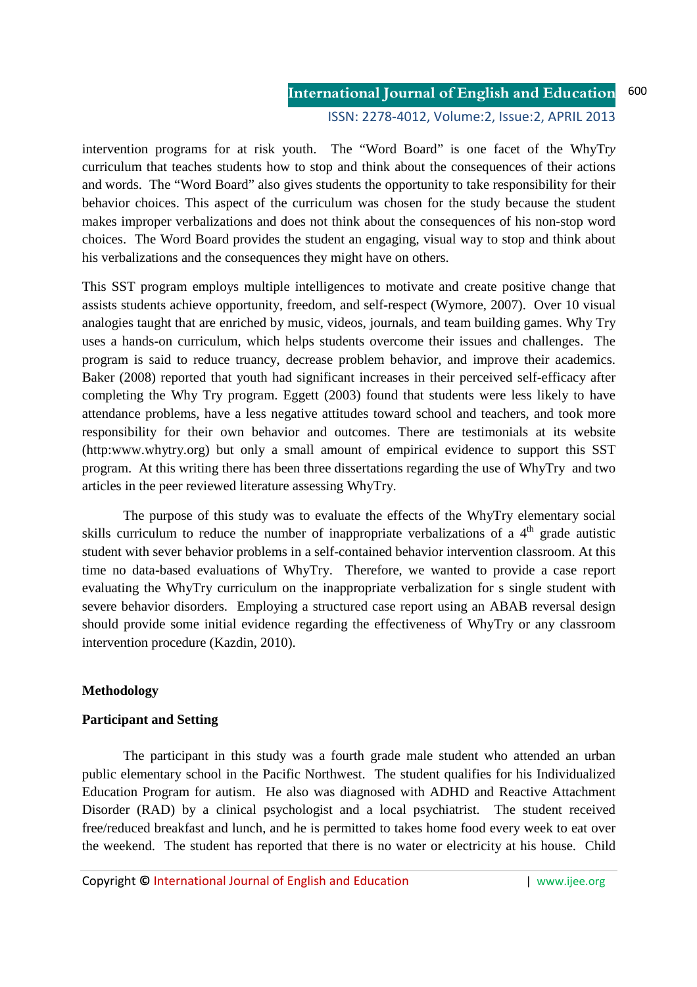#### **International Journal of English and Education** 600

ISSN: 2278-4012, Volume:2, Issue:2, APRIL 2013

intervention programs for at risk youth. The "Word Board" is one facet of the WhyTr*y* curriculum that teaches students how to stop and think about the consequences of their actions and words. The "Word Board" also gives students the opportunity to take responsibility for their behavior choices. This aspect of the curriculum was chosen for the study because the student makes improper verbalizations and does not think about the consequences of his non-stop word choices. The Word Board provides the student an engaging, visual way to stop and think about his verbalizations and the consequences they might have on others.

This SST program employs multiple intelligences to motivate and create positive change that assists students achieve opportunity, freedom, and self-respect (Wymore, 2007). Over 10 visual analogies taught that are enriched by music, videos, journals, and team building games. Why Try uses a hands-on curriculum, which helps students overcome their issues and challenges. The program is said to reduce truancy, decrease problem behavior, and improve their academics. Baker (2008) reported that youth had significant increases in their perceived self-efficacy after completing the Why Try program. Eggett (2003) found that students were less likely to have attendance problems, have a less negative attitudes toward school and teachers, and took more responsibility for their own behavior and outcomes. There are testimonials at its website (http:www.whytry.org) but only a small amount of empirical evidence to support this SST program. At this writing there has been three dissertations regarding the use of WhyTry and two articles in the peer reviewed literature assessing WhyTry.

 The purpose of this study was to evaluate the effects of the WhyTry elementary social skills curriculum to reduce the number of inappropriate verbalizations of a 4<sup>th</sup> grade autistic student with sever behavior problems in a self-contained behavior intervention classroom. At this time no data-based evaluations of WhyTry. Therefore, we wanted to provide a case report evaluating the WhyTry curriculum on the inappropriate verbalization for s single student with severe behavior disorders. Employing a structured case report using an ABAB reversal design should provide some initial evidence regarding the effectiveness of WhyTry or any classroom intervention procedure (Kazdin, 2010).

#### **Methodology**

#### **Participant and Setting**

The participant in this study was a fourth grade male student who attended an urban public elementary school in the Pacific Northwest. The student qualifies for his Individualized Education Program for autism. He also was diagnosed with ADHD and Reactive Attachment Disorder (RAD) by a clinical psychologist and a local psychiatrist. The student received free/reduced breakfast and lunch, and he is permitted to takes home food every week to eat over the weekend. The student has reported that there is no water or electricity at his house. Child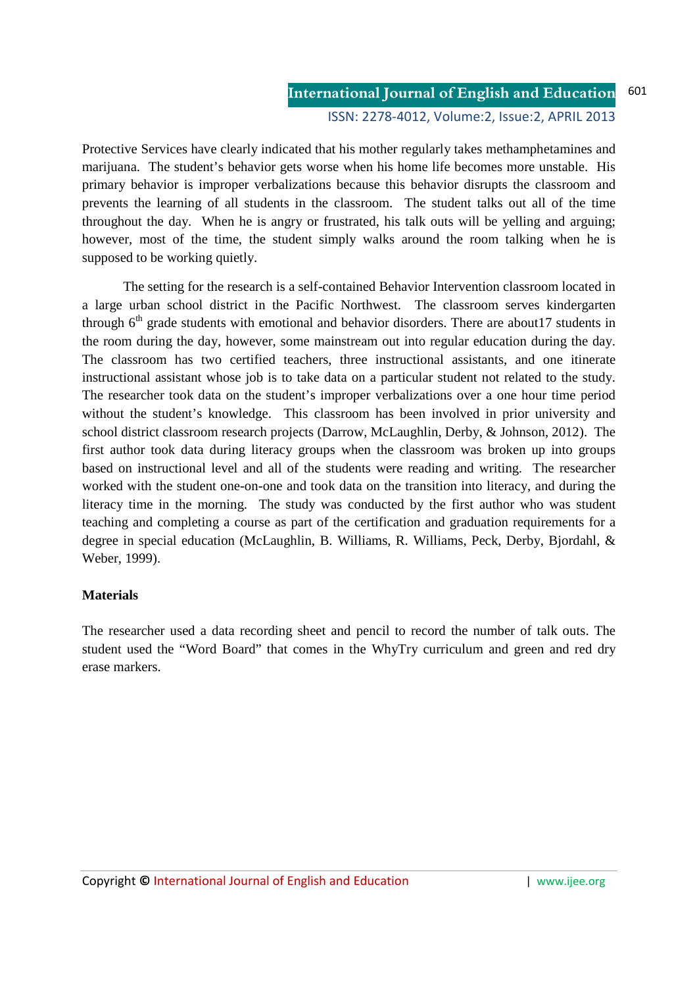**International Journal of English and Education** ISSN: 2278-4012, Volume:2, Issue:2, APRIL 2013

Protective Services have clearly indicated that his mother regularly takes methamphetamines and marijuana. The student's behavior gets worse when his home life becomes more unstable. His primary behavior is improper verbalizations because this behavior disrupts the classroom and prevents the learning of all students in the classroom. The student talks out all of the time throughout the day. When he is angry or frustrated, his talk outs will be yelling and arguing; however, most of the time, the student simply walks around the room talking when he is supposed to be working quietly.

 The setting for the research is a self-contained Behavior Intervention classroom located in a large urban school district in the Pacific Northwest. The classroom serves kindergarten through  $6<sup>th</sup>$  grade students with emotional and behavior disorders. There are about 17 students in the room during the day, however, some mainstream out into regular education during the day. The classroom has two certified teachers, three instructional assistants, and one itinerate instructional assistant whose job is to take data on a particular student not related to the study. The researcher took data on the student's improper verbalizations over a one hour time period without the student's knowledge. This classroom has been involved in prior university and school district classroom research projects (Darrow, McLaughlin, Derby, & Johnson, 2012). The first author took data during literacy groups when the classroom was broken up into groups based on instructional level and all of the students were reading and writing. The researcher worked with the student one-on-one and took data on the transition into literacy, and during the literacy time in the morning. The study was conducted by the first author who was student teaching and completing a course as part of the certification and graduation requirements for a degree in special education (McLaughlin, B. Williams, R. Williams, Peck, Derby, Bjordahl, & Weber, 1999).

## **Materials**

The researcher used a data recording sheet and pencil to record the number of talk outs. The student used the "Word Board" that comes in the WhyTry curriculum and green and red dry erase markers.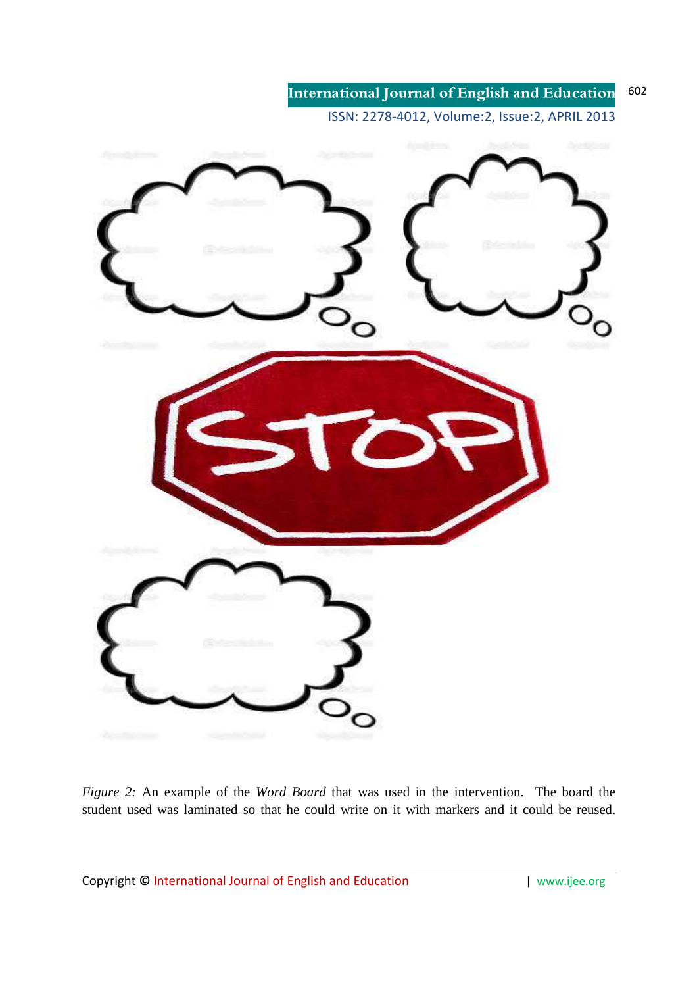**International Journal of English and Education** 602

ISSN: 2278-4012, Volume:2, Issue:2, APRIL 2013



*Figure 2:* An example of the *Word Board* that was used in the intervention. The board the student used was laminated so that he could write on it with markers and it could be reused.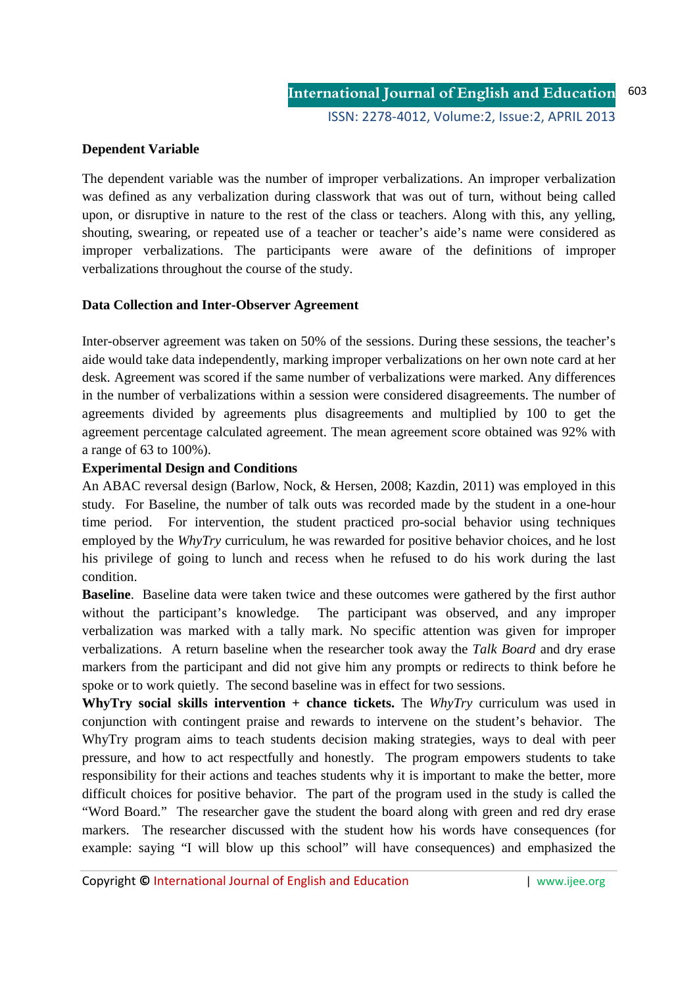# **Dependent Variable**

The dependent variable was the number of improper verbalizations. An improper verbalization was defined as any verbalization during classwork that was out of turn, without being called upon, or disruptive in nature to the rest of the class or teachers. Along with this, any yelling, shouting, swearing, or repeated use of a teacher or teacher's aide's name were considered as improper verbalizations. The participants were aware of the definitions of improper verbalizations throughout the course of the study.

## **Data Collection and Inter-Observer Agreement**

Inter-observer agreement was taken on 50% of the sessions. During these sessions, the teacher's aide would take data independently, marking improper verbalizations on her own note card at her desk. Agreement was scored if the same number of verbalizations were marked. Any differences in the number of verbalizations within a session were considered disagreements. The number of agreements divided by agreements plus disagreements and multiplied by 100 to get the agreement percentage calculated agreement. The mean agreement score obtained was 92% with a range of 63 to 100%).

## **Experimental Design and Conditions**

An ABAC reversal design (Barlow, Nock, & Hersen, 2008; Kazdin, 2011) was employed in this study. For Baseline, the number of talk outs was recorded made by the student in a one-hour time period. For intervention, the student practiced pro-social behavior using techniques employed by the *WhyTry* curriculum, he was rewarded for positive behavior choices, and he lost his privilege of going to lunch and recess when he refused to do his work during the last condition.

**Baseline**. Baseline data were taken twice and these outcomes were gathered by the first author without the participant's knowledge. The participant was observed, and any improper verbalization was marked with a tally mark. No specific attention was given for improper verbalizations. A return baseline when the researcher took away the *Talk Board* and dry erase markers from the participant and did not give him any prompts or redirects to think before he spoke or to work quietly. The second baseline was in effect for two sessions.

**WhyTry social skills intervention + chance tickets.** The *WhyTry* curriculum was used in conjunction with contingent praise and rewards to intervene on the student's behavior. The WhyTry program aims to teach students decision making strategies, ways to deal with peer pressure, and how to act respectfully and honestly. The program empowers students to take responsibility for their actions and teaches students why it is important to make the better, more difficult choices for positive behavior. The part of the program used in the study is called the "Word Board." The researcher gave the student the board along with green and red dry erase markers. The researcher discussed with the student how his words have consequences (for example: saying "I will blow up this school" will have consequences) and emphasized the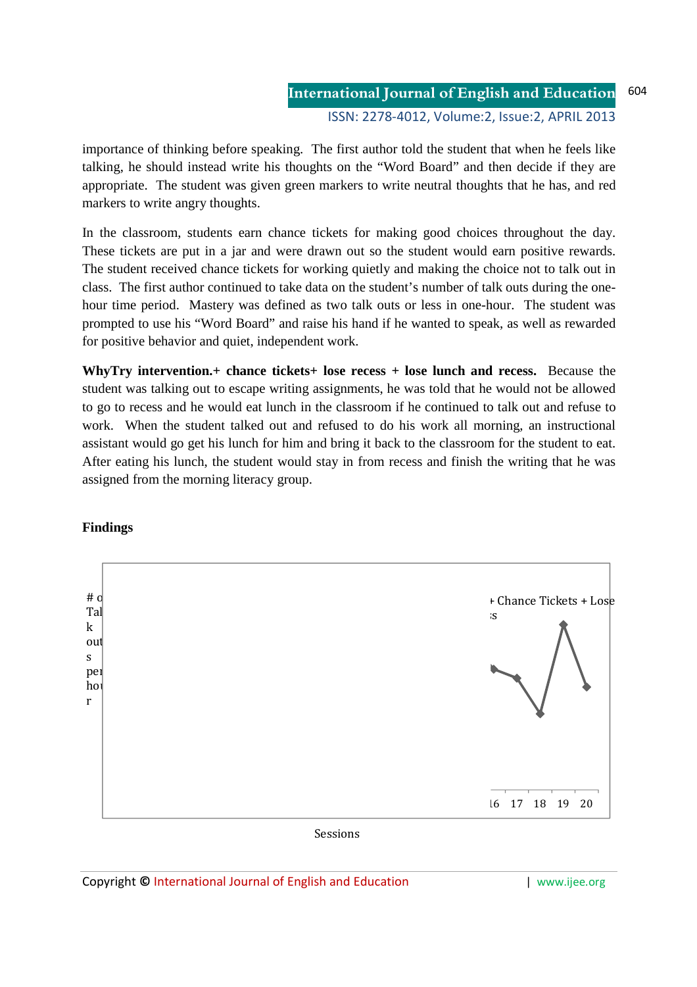# **International Journal of English and Education** 4012, <sup>604</sup> ISSN: 2278-4012, Volume:2, Issue:2, APRIL 2013

importance of thinking before speaking. The first author told the student that when he feels like talking, he should instead write his thoughts on the "Word Board" and then decide if they are appropriate. The student was given green markers to write neutral thoughts that he has, and red markers to write angry thoughts.

In the classroom, students earn chance tickets for making good choices throughout the day. appropriate. The student was given green markers to write neutral thoughts that he has, and red<br>markers to write angry thoughts.<br>In the classroom, students earn chance tickets for making good choices throughout the day.<br>Th The student received chance tickets for working quietly and making the choice not to talk out in class. The first author continued to take data on the student's number of talk outs during the onehour time period. Mastery was defined as two talk outs or less in one-hour. The student was hour time period. Mastery was defined as two talk outs or less in one-hour. The student was prompted to use his "Word Board" and raise his hand if he wanted to speak, as well as rewarded for positive behavior and quiet, independent work. write angry thoughts.<br>sroom, students earn chance tickets for making good choices throughout the day.<br>ts are put in a jar and were drawn out so the student would earn positive rewards.<br>t received chance tickets for working

Why Try intervention.+ chance tickets+ lose recess + lose lunch and recess. Because the student was talking out to escape writing assignments, he was told that he would not be allowed to go to recess and he would eat lunch in the classroom if he continued to talk out and refuse to for positive behavior and quiet, independent work.<br>
WhyTry intervention.+ chance tickets+ lose recess + lose lunch and recess. Because the<br>
student was talking out to escape writing assignments, he was told that he would n assistant would go get his lunch for him and bring it back to the classroom for the student to eat. student was talking out to escape writing assignments, he was told that he would not be allowed<br>to go to recess and he would eat lunch in the classroom if he continued to talk out and refuse to<br>work. When the student talke assigned from the morning literacy group.

## **Findings**



Sessions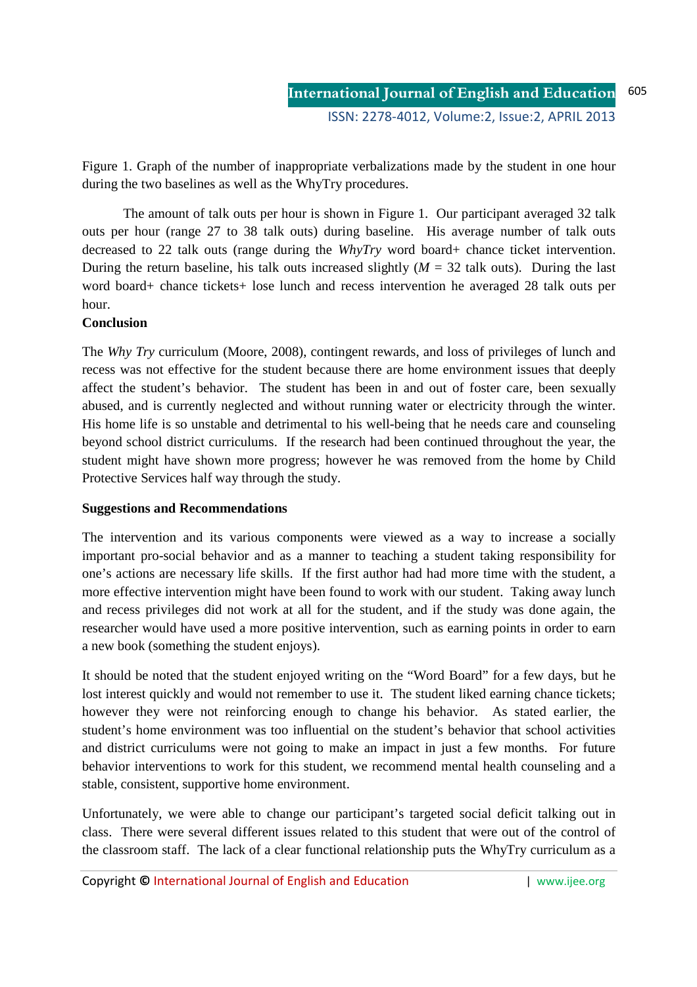Figure 1. Graph of the number of inappropriate verbalizations made by the student in one hour during the two baselines as well as the WhyTry procedures.

 The amount of talk outs per hour is shown in Figure 1. Our participant averaged 32 talk outs per hour (range 27 to 38 talk outs) during baseline. His average number of talk outs decreased to 22 talk outs (range during the *WhyTry* word board+ chance ticket intervention. During the return baseline, his talk outs increased slightly  $(M = 32$  talk outs). During the last word board+ chance tickets+ lose lunch and recess intervention he averaged 28 talk outs per hour.

#### **Conclusion**

The *Why Try* curriculum (Moore, 2008), contingent rewards, and loss of privileges of lunch and recess was not effective for the student because there are home environment issues that deeply affect the student's behavior. The student has been in and out of foster care, been sexually abused, and is currently neglected and without running water or electricity through the winter. His home life is so unstable and detrimental to his well-being that he needs care and counseling beyond school district curriculums. If the research had been continued throughout the year, the student might have shown more progress; however he was removed from the home by Child Protective Services half way through the study.

## **Suggestions and Recommendations**

The intervention and its various components were viewed as a way to increase a socially important pro-social behavior and as a manner to teaching a student taking responsibility for one's actions are necessary life skills. If the first author had had more time with the student, a more effective intervention might have been found to work with our student. Taking away lunch and recess privileges did not work at all for the student, and if the study was done again, the researcher would have used a more positive intervention, such as earning points in order to earn a new book (something the student enjoys).

It should be noted that the student enjoyed writing on the "Word Board" for a few days, but he lost interest quickly and would not remember to use it. The student liked earning chance tickets; however they were not reinforcing enough to change his behavior. As stated earlier, the student's home environment was too influential on the student's behavior that school activities and district curriculums were not going to make an impact in just a few months. For future behavior interventions to work for this student, we recommend mental health counseling and a stable, consistent, supportive home environment.

Unfortunately, we were able to change our participant's targeted social deficit talking out in class. There were several different issues related to this student that were out of the control of the classroom staff. The lack of a clear functional relationship puts the WhyTry curriculum as a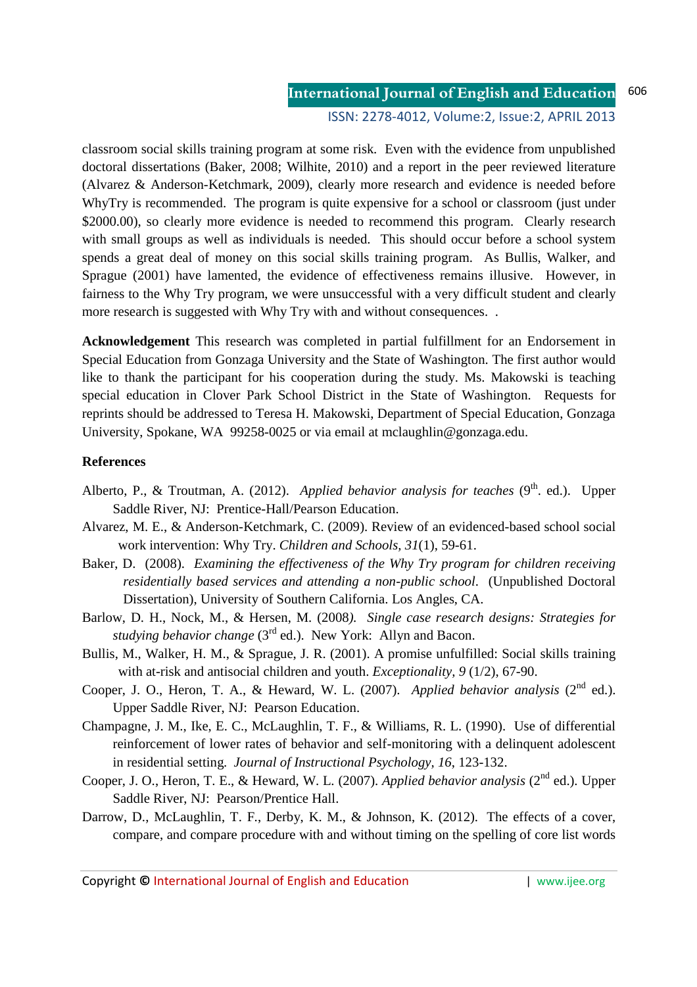#### ISSN: 2278-4012, Volume:2, Issue:2, APRIL 2013

classroom social skills training program at some risk. Even with the evidence from unpublished doctoral dissertations (Baker, 2008; Wilhite, 2010) and a report in the peer reviewed literature (Alvarez & Anderson-Ketchmark, 2009), clearly more research and evidence is needed before WhyTry is recommended. The program is quite expensive for a school or classroom (just under \$2000.00), so clearly more evidence is needed to recommend this program. Clearly research with small groups as well as individuals is needed. This should occur before a school system spends a great deal of money on this social skills training program. As Bullis, Walker, and Sprague (2001) have lamented, the evidence of effectiveness remains illusive. However, in fairness to the Why Try program, we were unsuccessful with a very difficult student and clearly more research is suggested with Why Try with and without consequences. .

**Acknowledgement** This research was completed in partial fulfillment for an Endorsement in Special Education from Gonzaga University and the State of Washington. The first author would like to thank the participant for his cooperation during the study. Ms. Makowski is teaching special education in Clover Park School District in the State of Washington. Requests for reprints should be addressed to Teresa H. Makowski, Department of Special Education, Gonzaga University, Spokane, WA 99258-0025 or via email at mclaughlin@gonzaga.edu.

#### **References**

- Alberto, P., & Troutman, A. (2012). *Applied behavior analysis for teaches* (9<sup>th</sup>. ed.). Upper Saddle River, NJ: Prentice-Hall/Pearson Education.
- Alvarez, M. E., & Anderson-Ketchmark, C. (2009). Review of an evidenced-based school social work intervention: Why Try. *Children and Schools, 31*(1), 59-61.
- Baker, D. (2008). *Examining the effectiveness of the Why Try program for children receiving residentially based services and attending a non-public school*. (Unpublished Doctoral Dissertation), University of Southern California. Los Angles, CA.
- Barlow, D. H., Nock, M., & Hersen, M. (2008*). Single case research designs: Strategies for studying behavior change* (3<sup>rd</sup> ed.). New York: Allyn and Bacon.
- Bullis, M., Walker, H. M., & Sprague, J. R. (2001). A promise unfulfilled: Social skills training with at-risk and antisocial children and youth. *Exceptionality, 9* (1/2), 67-90.
- Cooper, J. O., Heron, T. A., & Heward, W. L. (2007). *Applied behavior analysis* (2<sup>nd</sup> ed.). Upper Saddle River, NJ: Pearson Education.
- Champagne, J. M., Ike, E. C., McLaughlin, T. F., & Williams, R. L. (1990). Use of differential reinforcement of lower rates of behavior and self-monitoring with a delinquent adolescent in residential setting. *Journal of Instructional Psychology, 16*, 123-132.
- Cooper, J. O., Heron, T. E., & Heward, W. L. (2007). *Applied behavior analysis* (2<sup>nd</sup> ed.). Upper Saddle River, NJ: Pearson/Prentice Hall.
- Darrow, D., McLaughlin, T. F., Derby, K. M., & Johnson, K. (2012). The effects of a cover, compare, and compare procedure with and without timing on the spelling of core list words

Copyright **©** International Journal of English and Education | www.ijee.org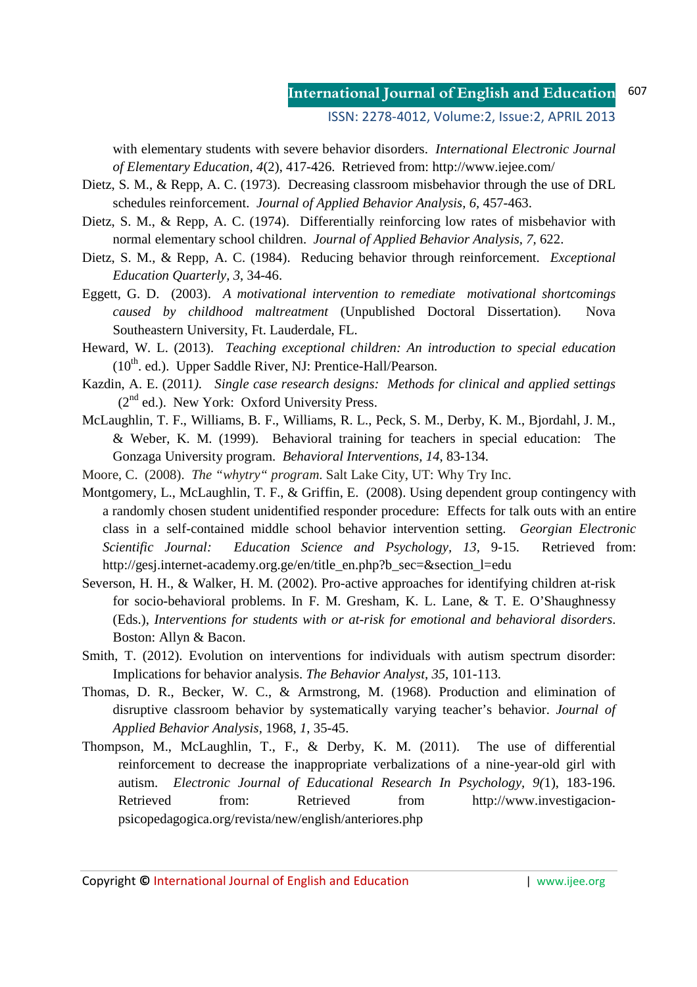#### **International Journal of English and Education** 607

ISSN: 2278-4012, Volume:2, Issue:2, APRIL 2013

with elementary students with severe behavior disorders. *International Electronic Journal of Elementary Education, 4*(2), 417-426. Retrieved from: http://www.iejee.com/

- Dietz, S. M., & Repp, A. C. (1973). Decreasing classroom misbehavior through the use of DRL schedules reinforcement. *Journal of Applied Behavior Analysis, 6,* 457-463.
- Dietz, S. M., & Repp, A. C. (1974). Differentially reinforcing low rates of misbehavior with normal elementary school children. *Journal of Applied Behavior Analysis, 7,* 622.
- Dietz, S. M., & Repp, A. C. (1984). Reducing behavior through reinforcement. *Exceptional Education Quarterly, 3*, 34-46.
- Eggett, G. D. (2003). *A motivational intervention to remediate motivational shortcomings caused by childhood maltreatment* (Unpublished Doctoral Dissertation). Nova Southeastern University, Ft. Lauderdale, FL.
- Heward, W. L. (2013). *Teaching exceptional children: An introduction to special education*   $(10<sup>th</sup>$ . ed.). Upper Saddle River, NJ: Prentice-Hall/Pearson.
- Kazdin, A. E. (2011*). Single case research designs: Methods for clinical and applied settings*  $(2<sup>nd</sup>$  ed.). New York: Oxford University Press.
- McLaughlin, T. F., Williams, B. F., Williams, R. L., Peck, S. M., Derby, K. M., Bjordahl, J. M., & Weber, K. M. (1999). Behavioral training for teachers in special education: The Gonzaga University program. *Behavioral Interventions, 14*, 83-134.
- Moore, C. (2008). *The "whytry" program*. Salt Lake City, UT: Why Try Inc.
- Montgomery, L., McLaughlin, T. F., & Griffin, E. (2008). Using dependent group contingency with a randomly chosen student unidentified responder procedure: Effects for talk outs with an entire class in a self-contained middle school behavior intervention setting. *Georgian Electronic Scientific Journal: Education Science and Psychology, 13,* 9-15. Retrieved from: http://gesj.internet-academy.org.ge/en/title\_en.php?b\_sec=&section\_l=edu
- Severson, H. H., & Walker, H. M. (2002). Pro-active approaches for identifying children at-risk for socio-behavioral problems. In F. M. Gresham, K. L. Lane, & T. E. O'Shaughnessy (Eds.), *Interventions for students with or at-risk for emotional and behavioral disorders*. Boston: Allyn & Bacon.
- Smith, T. (2012). Evolution on interventions for individuals with autism spectrum disorder: Implications for behavior analysis. *The Behavior Analyst, 35*, 101-113.
- Thomas, D. R., Becker, W. C., & Armstrong, M. (1968). Production and elimination of disruptive classroom behavior by systematically varying teacher's behavior. *Journal of Applied Behavior Analysis,* 1968, *1*, 35-45.
- Thompson, M., McLaughlin, T., F., & Derby, K. M. (2011). The use of differential reinforcement to decrease the inappropriate verbalizations of a nine-year-old girl with autism. *Electronic Journal of Educational Research In Psychology, 9(*1), 183-196. Retrieved from: Retrieved from http://www.investigacionpsicopedagogica.org/revista/new/english/anteriores.php